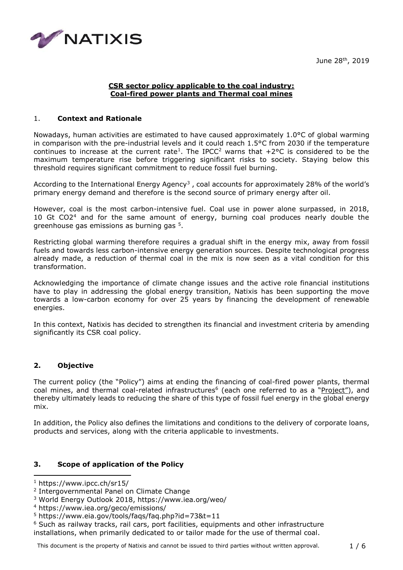June 28th, 2019



## **CSR sector policy applicable to the coal industry: Coal-fired power plants and Thermal coal mines**

#### 1. **Context and Rationale**

Nowadays, human activities are estimated to have caused approximately 1.0°C of global warming in comparison with the pre-industrial levels and it could reach 1.5°C from 2030 if the temperature continues to increase at the current rate<sup>1</sup>. The IPCC<sup>2</sup> warns that  $+2^{\circ}$ C is considered to be the maximum temperature rise before triggering significant risks to society. Staying below this threshold requires significant commitment to reduce fossil fuel burning.

According to the International Energy Agency<sup>3</sup>, coal accounts for approximately 28% of the world's primary energy demand and therefore is the second source of primary energy after oil.

However, coal is the most carbon-intensive fuel. Coal use in power alone surpassed, in 2018, 10 Gt CO2<sup>4</sup> and for the same amount of energy, burning coal produces nearly double the greenhouse gas emissions as burning gas <sup>5</sup>.

Restricting global warming therefore requires a gradual shift in the energy mix, away from fossil fuels and towards less carbon-intensive energy generation sources. Despite technological progress already made, a reduction of thermal coal in the mix is now seen as a vital condition for this transformation.

Acknowledging the importance of climate change issues and the active role financial institutions have to play in addressing the global energy transition, Natixis has been supporting the move towards a low-carbon economy for over 25 years by financing the development of renewable energies.

In this context, Natixis has decided to strengthen its financial and investment criteria by amending significantly its CSR coal policy.

## **2. Objective**

The current policy (the "Policy") aims at ending the financing of coal-fired power plants, thermal coal mines, and thermal coal-related infrastructures<sup>6</sup> (each one referred to as a "Project"), and thereby ultimately leads to reducing the share of this type of fossil fuel energy in the global energy mix.

In addition, the Policy also defines the limitations and conditions to the delivery of corporate loans, products and services, along with the criteria applicable to investments.

## **3. Scope of application of the Policy**

<sup>1</sup> https://www.ipcc.ch/sr15/

<sup>2</sup> Intergovernmental Panel on Climate Change

<sup>3</sup> World Energy Outlook 2018, https://www.iea.org/weo/

<sup>4</sup> https://www.iea.org/geco/emissions/

<sup>5</sup> https://www.eia.gov/tools/faqs/faq.php?id=73&t=11

<sup>6</sup> Such as railway tracks, rail cars, port facilities, equipments and other infrastructure installations, when primarily dedicated to or tailor made for the use of thermal coal.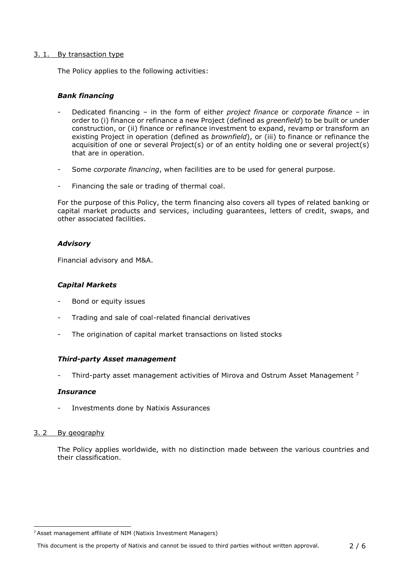#### 3. 1. By transaction type

The Policy applies to the following activities:

## *Bank financing*

- Dedicated financing in the form of either *project finance* or *corporate finance* in order to (i) finance or refinance a new Project (defined as *greenfield*) to be built or under construction, or (ii) finance or refinance investment to expand, revamp or transform an existing Project in operation (defined as *brownfield*), or (iii) to finance or refinance the acquisition of one or several Project(s) or of an entity holding one or several project(s) that are in operation.
- Some *corporate financing*, when facilities are to be used for general purpose.
- Financing the sale or trading of thermal coal.

For the purpose of this Policy, the term financing also covers all types of related banking or capital market products and services, including guarantees, letters of credit, swaps, and other associated facilities.

## *Advisory*

Financial advisory and M&A.

## *Capital Markets*

- Bond or equity issues
- Trading and sale of coal-related financial derivatives
- The origination of capital market transactions on listed stocks

#### *Third-party Asset management*

Third-party asset management activities of Mirova and Ostrum Asset Management <sup>7</sup>

#### *Insurance*

- Investments done by Natixis Assurances

## 3. 2 By geography

The Policy applies worldwide, with no distinction made between the various countries and their classification.

<sup>7</sup> Asset management affiliate of NIM (Natixis Investment Managers)

This document is the property of Natixis and cannot be issued to third parties without written approval. 2 / 6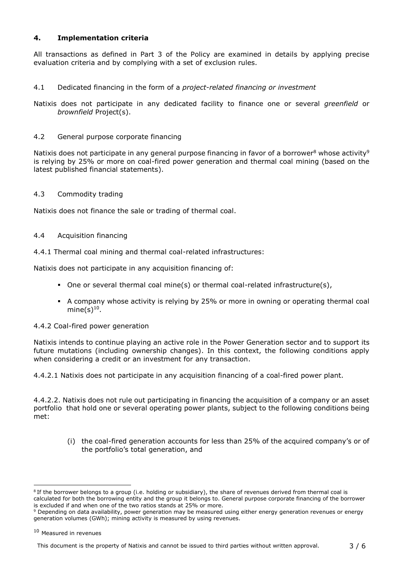# **4. Implementation criteria**

All transactions as defined in Part 3 of the Policy are examined in details by applying precise evaluation criteria and by complying with a set of exclusion rules.

# 4.1 Dedicated financing in the form of a *project-related financing or investment*

Natixis does not participate in any dedicated facility to finance one or several *greenfield* or *brownfield* Project(s).

## 4.2 General purpose corporate financing

Natixis does not participate in any general purpose financing in favor of a borrower<sup>8</sup> whose activity<sup>9</sup> is relying by 25% or more on coal-fired power generation and thermal coal mining (based on the latest published financial statements).

# 4.3 Commodity trading

Natixis does not finance the sale or trading of thermal coal.

## 4.4 Acquisition financing

4.4.1 Thermal coal mining and thermal coal-related infrastructures:

Natixis does not participate in any acquisition financing of:

- One or several thermal coal mine(s) or thermal coal-related infrastructure(s),
- **E** A company whose activity is relying by 25% or more in owning or operating thermal coal mine $(s)^{10}$ .

## 4.4.2 Coal-fired power generation

Natixis intends to continue playing an active role in the Power Generation sector and to support its future mutations (including ownership changes). In this context, the following conditions apply when considering a credit or an investment for any transaction.

4.4.2.1 Natixis does not participate in any acquisition financing of a coal-fired power plant.

4.4.2.2. Natixis does not rule out participating in financing the acquisition of a company or an asset portfolio that hold one or several operating power plants, subject to the following conditions being met:

(i) the coal-fired generation accounts for less than 25% of the acquired company's or of the portfolio's total generation, and

<sup>&</sup>lt;sup>8</sup> If the borrower belongs to a group (i.e. holding or subsidiary), the share of revenues derived from thermal coal is calculated for both the borrowing entity and the group it belongs to. General purpose corporate financing of the borrower is excluded if and when one of the two ratios stands at 25% or more.

Depending on data availability, power generation may be measured using either energy generation revenues or energy generation volumes (GWh); mining activity is measured by using revenues.

<sup>10</sup> Measured in revenues

This document is the property of Natixis and cannot be issued to third parties without written approval. 3 / 6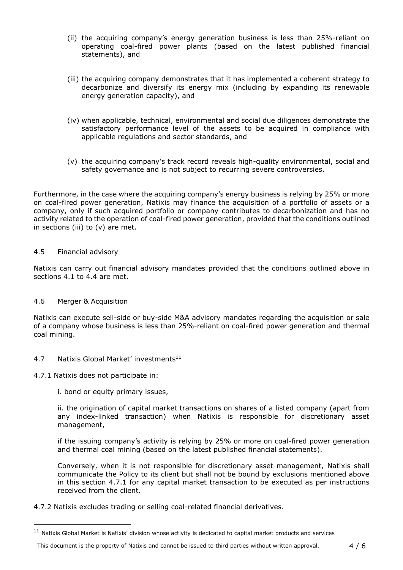- (ii) the acquiring company's energy generation business is less than 25%-reliant on operating coal-fired power plants (based on the latest published financial statements), and
- (iii) the acquiring company demonstrates that it has implemented a coherent strategy to decarbonize and diversify its energy mix (including by expanding its renewable energy generation capacity), and
- (iv) when applicable, technical, environmental and social due diligences demonstrate the satisfactory performance level of the assets to be acquired in compliance with applicable regulations and sector standards, and
- (v) the acquiring company's track record reveals high-quality environmental, social and safety governance and is not subject to recurring severe controversies.

Furthermore, in the case where the acquiring company's energy business is relying by 25% or more on coal-fired power generation, Natixis may finance the acquisition of a portfolio of assets or a company, only if such acquired portfolio or company contributes to decarbonization and has no activity related to the operation of coal-fired power generation, provided that the conditions outlined in sections (iii) to (v) are met.

## 4.5 Financial advisory

Natixis can carry out financial advisory mandates provided that the conditions outlined above in sections 4.1 to 4.4 are met.

## 4.6 Merger & Acquisition

Natixis can execute sell-side or buy-side M&A advisory mandates regarding the acquisition or sale of a company whose business is less than 25%-reliant on coal-fired power generation and thermal coal mining.

#### 4.7 Natixis Global Market' investments<sup>11</sup>

#### 4.7.1 Natixis does not participate in:

1

i. bond or equity primary issues,

ii. the origination of capital market transactions on shares of a listed company (apart from any index-linked transaction) when Natixis is responsible for discretionary asset management,

if the issuing company's activity is relying by 25% or more on coal-fired power generation and thermal coal mining (based on the latest published financial statements).

Conversely, when it is not responsible for discretionary asset management, Natixis shall communicate the Policy to its client but shall not be bound by exclusions mentioned above in this section 4.7.1 for any capital market transaction to be executed as per instructions received from the client.

4.7.2 Natixis excludes trading or selling coal-related financial derivatives.

 $11$  Natixis Global Market is Natixis' division whose activity is dedicated to capital market products and services

This document is the property of Natixis and cannot be issued to third parties without written approval. 4/6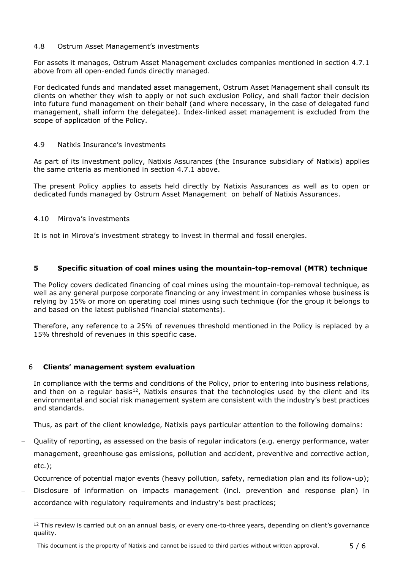#### 4.8 Ostrum Asset Management's investments

For assets it manages, Ostrum Asset Management excludes companies mentioned in section 4.7.1 above from all open-ended funds directly managed.

For dedicated funds and mandated asset management, Ostrum Asset Management shall consult its clients on whether they wish to apply or not such exclusion Policy, and shall factor their decision into future fund management on their behalf (and where necessary, in the case of delegated fund management, shall inform the delegatee). Index-linked asset management is excluded from the scope of application of the Policy.

## 4.9 Natixis Insurance's investments

As part of its investment policy, Natixis Assurances (the Insurance subsidiary of Natixis) applies the same criteria as mentioned in section 4.7.1 above.

The present Policy applies to assets held directly by Natixis Assurances as well as to open or dedicated funds managed by Ostrum Asset Management on behalf of Natixis Assurances.

## 4.10 Mirova's investments

It is not in Mirova's investment strategy to invest in thermal and fossil energies.

## **5 Specific situation of coal mines using the mountain-top-removal (MTR) technique**

The Policy covers dedicated financing of coal mines using the mountain-top-removal technique, as well as any general purpose corporate financing or any investment in companies whose business is relying by 15% or more on operating coal mines using such technique (for the group it belongs to and based on the latest published financial statements).

Therefore, any reference to a 25% of revenues threshold mentioned in the Policy is replaced by a 15% threshold of revenues in this specific case.

## 6 **Clients' management system evaluation**

In compliance with the terms and conditions of the Policy, prior to entering into business relations, and then on a regular basis<sup>12</sup>, Natixis ensures that the technologies used by the client and its environmental and social risk management system are consistent with the industry's best practices and standards.

Thus, as part of the client knowledge, Natixis pays particular attention to the following domains:

- − Quality of reporting, as assessed on the basis of regular indicators (e.g. energy performance, water management, greenhouse gas emissions, pollution and accident, preventive and corrective action, etc.);
- − Occurrence of potential major events (heavy pollution, safety, remediation plan and its follow-up);
- Disclosure of information on impacts management (incl. prevention and response plan) in accordance with regulatory requirements and industry's best practices;

<sup>&</sup>lt;sup>12</sup> This review is carried out on an annual basis, or every one-to-three years, depending on client's governance quality.

This document is the property of Natixis and cannot be issued to third parties without written approval. 5 / 6